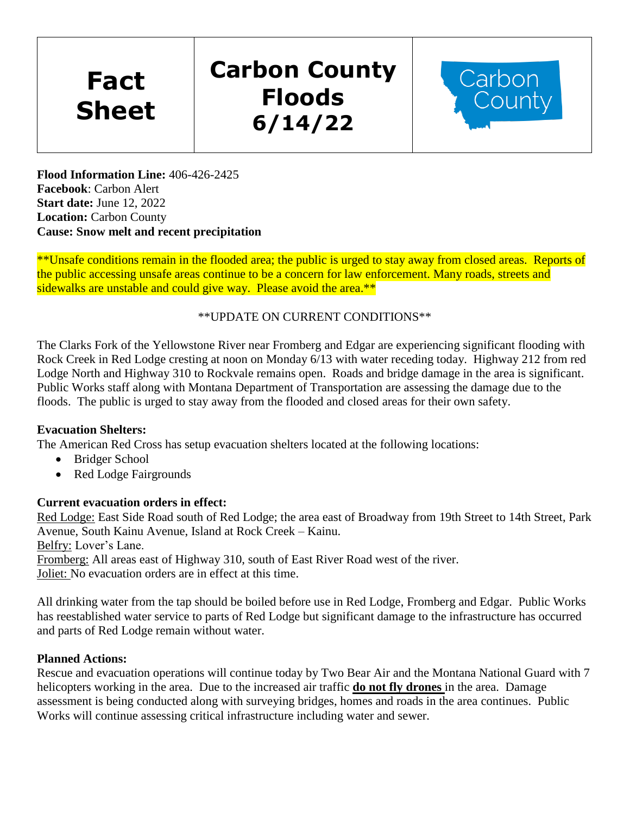**Fact Sheet**

# **Carbon County Floods 6/14/22**



**Flood Information Line:** 406-426-2425 **Facebook**: Carbon Alert **Start date:** June 12, 2022 **Location:** Carbon County **Cause: Snow melt and recent precipitation**

\*\*Unsafe conditions remain in the flooded area; the public is urged to stay away from closed areas. Reports of the public accessing unsafe areas continue to be a concern for law enforcement. Many roads, streets and sidewalks are unstable and could give way. Please avoid the area.\*\*

## \*\*UPDATE ON CURRENT CONDITIONS\*\*

The Clarks Fork of the Yellowstone River near Fromberg and Edgar are experiencing significant flooding with Rock Creek in Red Lodge cresting at noon on Monday 6/13 with water receding today. Highway 212 from red Lodge North and Highway 310 to Rockvale remains open. Roads and bridge damage in the area is significant. Public Works staff along with Montana Department of Transportation are assessing the damage due to the floods. The public is urged to stay away from the flooded and closed areas for their own safety.

## **Evacuation Shelters:**

The American Red Cross has setup evacuation shelters located at the following locations:

- Bridger School
- Red Lodge Fairgrounds

## **Current evacuation orders in effect:**

Red Lodge: East Side Road south of Red Lodge; the area east of Broadway from 19th Street to 14th Street, Park Avenue, South Kainu Avenue, Island at Rock Creek – Kainu.

Belfry: Lover's Lane.

Fromberg: All areas east of Highway 310, south of East River Road west of the river. Joliet: No evacuation orders are in effect at this time.

All drinking water from the tap should be boiled before use in Red Lodge, Fromberg and Edgar. Public Works has reestablished water service to parts of Red Lodge but significant damage to the infrastructure has occurred and parts of Red Lodge remain without water.

## **Planned Actions:**

Rescue and evacuation operations will continue today by Two Bear Air and the Montana National Guard with 7 helicopters working in the area. Due to the increased air traffic **do not fly drones** in the area. Damage assessment is being conducted along with surveying bridges, homes and roads in the area continues. Public Works will continue assessing critical infrastructure including water and sewer.